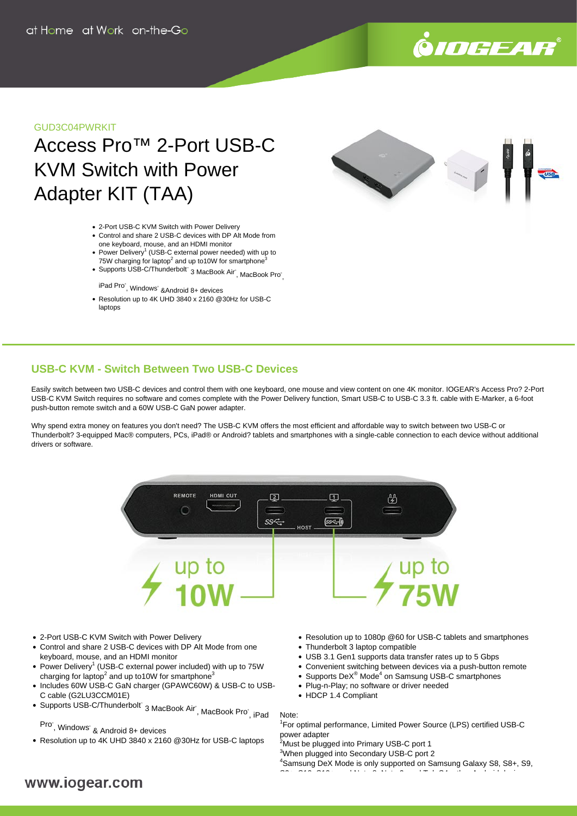

# GUD3C04PWRKIT

# Access Pro™ 2-Port USB-C KVM Switch with Power Adapter KIT (TAA)

- 2-Port USB-C KVM Switch with Power Delivery
- Control and share 2 USB-C devices with DP Alt Mode from one keyboard, mouse, and an HDMI monitor
- Power Delivery<sup>1</sup> (USB-C external power needed) with up to 75W charging for laptop<sup>2</sup> and up to10W for smartphone<sup>3</sup>
- Supports USB-C/Thunderbolt™3 MacBook Air®, MacBook Pro®,

iPad Pro®, Windows® &Android 8+ devices

Resolution up to 4K UHD 3840 x 2160 @30Hz for USB-C laptops



# **USB-C KVM - Switch Between Two USB-C Devices**

Easily switch between two USB-C devices and control them with one keyboard, one mouse and view content on one 4K monitor. IOGEAR's Access Pro? 2-Port USB-C KVM Switch requires no software and comes complete with the Power Delivery function, Smart USB-C to USB-C 3.3 ft. cable with E-Marker, a 6-foot push-button remote switch and a 60W USB-C GaN power adapter.

Why spend extra money on features you don't need? The USB-C KVM offers the most efficient and affordable way to switch between two USB-C or Thunderbolt? 3-equipped Mac® computers, PCs, iPad® or Android? tablets and smartphones with a single-cable connection to each device without additional drivers or software.



- 2-Port USB-C KVM Switch with Power Delivery
- Control and share 2 USB-C devices with DP Alt Mode from one keyboard, mouse, and an HDMI monitor
- Power Delivery<sup>1</sup> (USB-C external power included) with up to 75W charging for laptop<sup>2</sup> and up to10W for smartphone<sup>3</sup>
- Includes 60W USB-C GaN charger (GPAWC60W) & USB-C to USB-C cable (G2LU3CCM01E)
- Supports USB-C/Thunderbolt¨ 3 MacBook Air ̇̃, MacBook Pro ̇̃, ¡Pad

Pro°, Windows° & Android 8+ devices

Resolution up to 4K UHD 3840 x 2160 @30Hz for USB-C laptops

- Resolution up to 1080p @60 for USB-C tablets and smartphones
- Thunderbolt 3 laptop compatible
- USB 3.1 Gen1 supports data transfer rates up to 5 Gbps
- Convenient switching between devices via a push-button remote
- Supports DeX® Mode<sup>4</sup> on Samsung USB-C smartphones
- Plug-n-Play; no software or driver needed
- HDCP 1.4 Compliant

### Note:

<sup>1</sup>For optimal performance, Limited Power Source (LPS) certified USB-C power adapter

<sup>2</sup>Must be plugged into Primary USB-C port 1 <sup>3</sup>When plugged into Secondary USB-C port 2

<sup>4</sup>Samsung DeX Mode is only supported on Samsung Galaxy S8, S8+, S9, S9+, S10, S10+, and Note 8, Note 9, and Tab S4; other Android devices

# www.iogear.com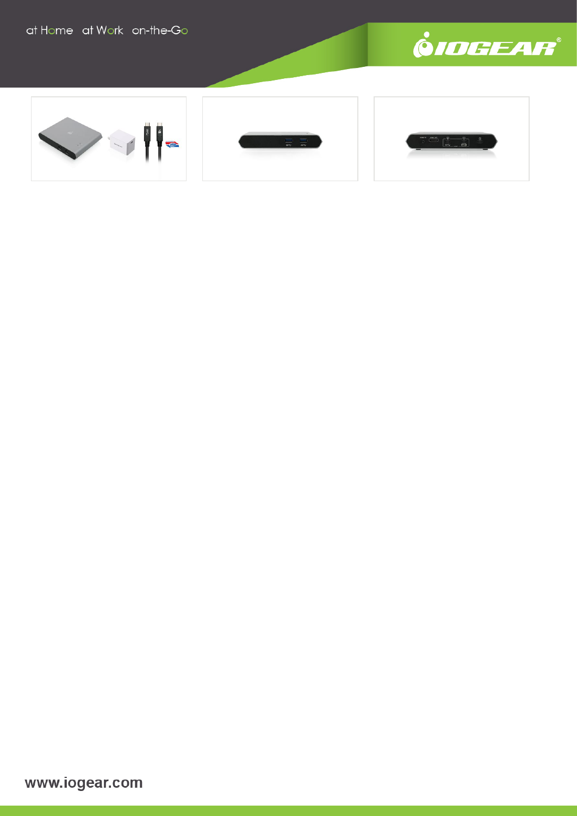







www.iogear.com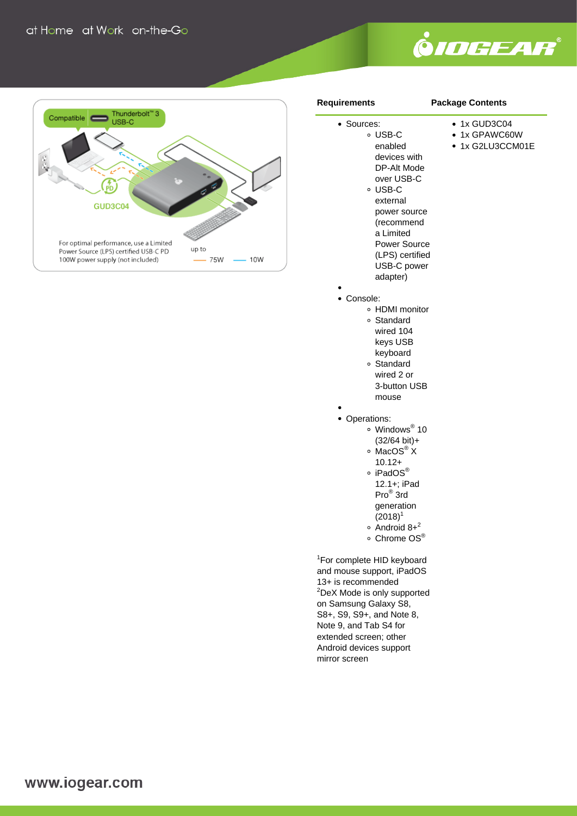



#### **Requirements**

• Sources:

 $\circ$  USB-C enabled devices with DP-Alt Mode over USB-C USB-C external power source (recommend a Limited Power Source (LPS) certified USB-C power adapter)

# **Package Contents**

- 1x GUD3C04
- 1x GPAWC60W
- 1x G2LU3CCM01E

- Console:
	- HDMI monitor
	- Standard
	- wired 104 keys USB
	- keyboard Standard wired 2 or 3-button USB mouse
	-
- Operations:
	- Windows<sup>®</sup> 10 (32/64 bit)+
		- MacOS<sup>®</sup> X
		- 10.12+
		- ∘ iPadOS® 12.1+; iPad Pro® 3rd generation  $(2018)^1$
		- $\circ$  Android 8+<sup>2</sup>
		- Chrome OS<sup>®</sup>

<sup>1</sup> For complete HID keyboard and mouse support, iPadOS 13+ is recommended <sup>2</sup>DeX Mode is only supported on Samsung Galaxy S8, S8+, S9, S9+, and Note 8, Note 9, and Tab S4 for extended screen; other Android devices support mirror screen